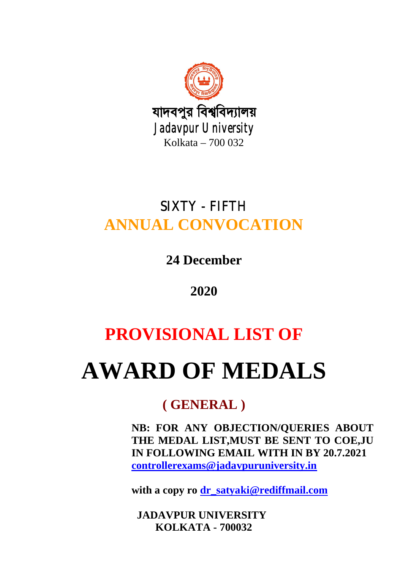

## SIXTY - FIFTH **ANNUAL CONVOCATION**

**24 December**

## **2020**

# **PROVISIONAL LIST OF**

# **AWARD OF MEDALS**

## **( GENERAL )**

**NB: FOR ANY OBJECTION/QUERIES ABOUT THE MEDAL LIST,MUST BE SENT TO COE,JU IN FOLLOWING EMAIL WITH IN BY 20.7.2021 controllerexams@jadavpuruniversity.in**

**with a copy ro dr\_satyaki@rediffmail.com**

 **JADAVPUR UNIVERSITY KOLKATA - 700032**